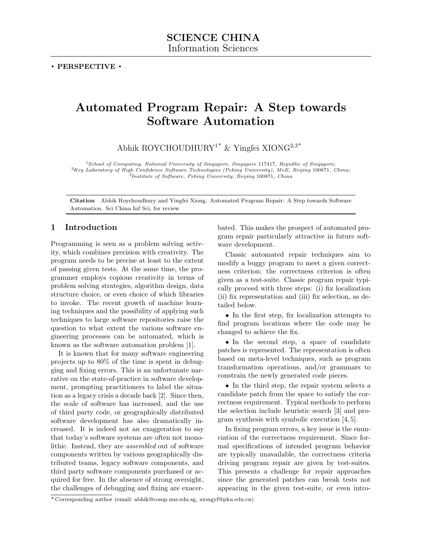# Automated Program Repair: A Step towards Software Automation

Abhik ROYCHOUDHURY1\* & Yingfei XIONG2,3\*

 $1$ School of Computing, National University of Singapore, Singapore 117417, Republic of Singapore;  ${}^{2}$ Key Laboratory of High Confidence Software Technologies (Peking University), MoE, Beijing 100871, China; 3 Institute of Software, Peking University, Beijing 100871, China

Citation Abhik Roychoudhury and Yingfei Xiong. Automated Program Repair: A Step towards Software Automation. Sci China Inf Sci, for review

## 1 Introduction

Programming is seen as a problem solving activity, which combines precision with creativity. The program needs to be precise at least to the extent of passing given tests. At the same time, the programmer employs copious creativity in terms of problem solving strategies, algorithm design, data structure choice, or even choice of which libraries to invoke. The recent growth of machine learning techniques and the possibility of applying such techniques to large software repositories raise the question to what extent the various software engineering processes can be automated, which is known as the software automation problem [\[1\]](#page-2-0).

It is known that for many software engineering projects up to 80% of the time is spent in debugging and fixing errors. This is an unfortunate narrative on the state-of-practice in software development, prompting practitioners to label the situation as a legacy crisis a decade back [\[2\]](#page-2-1). Since then, the scale of software has increased, and the use of third party code, or geographically distributed software development has also dramatically increased. It is indeed not an exaggeration to say that today's software systems are often not monolithic. Instead, they are assembled out of software components written by various geographically distributed teams, legacy software components, and third party software components purchased or acquired for free. In the absence of strong oversight, the challenges of debugging and fixing are exacerbated. This makes the prospect of automated program repair particularly attractive in future software development.

Classic automated repair techniques aim to modify a buggy program to meet a given correctness criterion; the correctness criterion is often given as a test-suite. Classic program repair typically proceed with three steps: (i) fix localization (ii) fix representation and (iii) fix selection, as detailed below.

• In the first step, fix localization attempts to find program locations where the code may be changed to achieve the fix.

• In the second step, a space of candidate patches is represented. The representation is often based on meta-level techniques, such as program transformation operations, and/or grammars to constrain the newly generated code pieces.

• In the third step, the repair system selects a candidate patch from the space to satisfy the correctness requirement. Typical methods to perform the selection include heuristic search [\[3\]](#page-2-2) and program synthesis with symbolic execution [\[4,](#page-2-3) [5\]](#page-2-4).

In fixing program errors, a key issue is the enunciation of the correctness requirement. Since formal specifications of intended program behavior are typically unavailable, the correctness criteria driving program repair are given by test-suites. This presents a challenge for repair approaches since the generated patches can break tests not appearing in the given test-suite, or even intro-

<sup>\*</sup> Corresponding author (email: abhik@comp.nus.edu.sg, xiongyf@pku.edu.cn)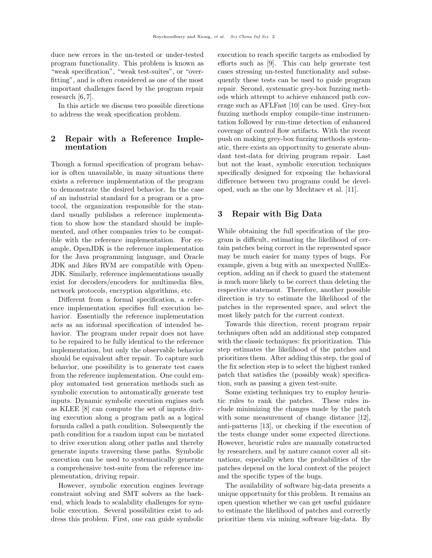duce new errors in the un-tested or under-tested program functionality. This problem is known as "weak specification", "weak test-suites", or "overfitting", and is often considered as one of the most important challenges faced by the program repair research [\[6,](#page-2-5) [7\]](#page-2-6).

In this article we discuss two possible directions to address the weak specification problem.

## 2 Repair with a Reference Implementation

Though a formal specification of program behavior is often unavailable, in many situations there exists a reference implementation of the program to demonstrate the desired behavior. In the case of an industrial standard for a program or a protocol, the organization responsible for the standard usually publishes a reference implementation to show how the standard should be implemented, and other companies tries to be compatible with the reference implementation. For example, OpenJDK is the reference implementation for the Java programming language, and Oracle JDK and Jikes RVM are compatible with Open-JDK. Similarly, reference implementations usually exist for decoders/encoders for multimedia files, network protocols, encryption algorithms, etc.

Different from a formal specification, a reference implementation specifies full execution behavior. Essentially the reference implementation acts as an informal specification of intended behavior. The program under repair does not have to be repaired to be fully identical to the reference implementation, but only the observable behavior should be equivalent after repair. To capture such behavior, one possibility is to generate test cases from the reference implementation. One could employ automated test generation methods such as symbolic execution to automatically generate test inputs. Dynamic symbolic execution engines such as KLEE [\[8\]](#page-2-7) can compute the set of inputs driving execution along a program path as a logical formula called a path condition. Subsequently the path condition for a random input can be mutated to drive execution along other paths and thereby generate inputs traversing these paths. Symbolic execution can be used to systematically generate a comprehensive test-suite from the reference implementation, driving repair.

However, symbolic execution engines leverage constraint solving and SMT solvers as the backend, which leads to scalability challenges for symbolic execution. Several possibilities exist to address this problem. First, one can guide symbolic execution to reach specific targets as embodied by efforts such as [\[9\]](#page-2-8). This can help generate test cases stressing un-tested functionality and subsequently these tests can be used to guide program repair. Second, systematic grey-box fuzzing methods which attempt to achieve enhanced path coverage such as AFLFast [\[10\]](#page-2-9) can be used. Grey-box fuzzing methods employ compile-time instrumentation followed by run-time detection of enhanced coverage of control flow artifacts. With the recent push on making grey-box fuzzing methods systematic, there exists an opportunity to generate abundant test-data for driving program repair. Last but not the least, symbolic execution techniques specifically designed for exposing the behavioral difference between two programs could be developed, such as the one by Mechtaev et al. [\[11\]](#page-2-10).

#### 3 Repair with Big Data

While obtaining the full specification of the program is difficult, estimating the likelihood of certain patches being correct in the represented space may be much easier for many types of bugs. For example, given a bug with an unexpected NullException, adding an if check to guard the statement is much more likely to be correct than deleting the respective statement. Therefore, another possible direction is try to estimate the likelihood of the patches in the represented space, and select the most likely patch for the current context.

Towards this direction, recent program repair techniques often add an additional step compared with the classic techniques: fix prioritization. This step estimates the likelihood of the patches and prioritizes them. After adding this step, the goal of the fix selection step is to select the highest ranked patch that satisfies the (possibly weak) specification, such as passing a given test-suite.

Some existing techniques try to employ heuristic rules to rank the patches. These rules include minimizing the changes made by the patch with some measurement of change distance [\[12\]](#page-2-11), anti-patterns [\[13\]](#page-2-12), or checking if the execution of the tests change under some expected directions. However, heuristic rules are manually constructed by researchers, and by nature cannot cover all situations, especially when the probabilities of the patches depend on the local context of the project and the specific types of the bugs.

The availability of software big-data presents a unique opportunity for this problem. It remains an open question whether we can get useful guidance to estimate the likelihood of patches and correctly prioritize them via mining software big-data. By